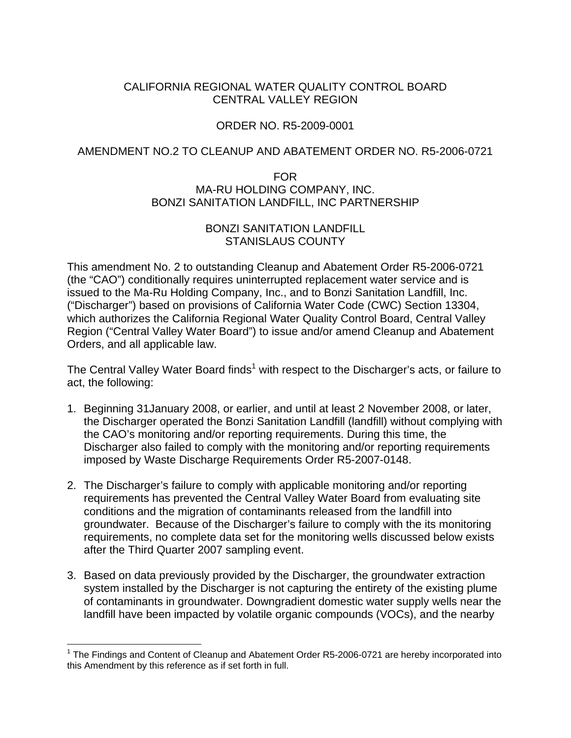# CALIFORNIA REGIONAL WATER QUALITY CONTROL BOARD CENTRAL VALLEY REGION

# ORDER NO. R5-2009-0001

### AMENDMENT NO.2 TO CLEANUP AND ABATEMENT ORDER NO. R5-2006-0721

#### FOR MA-RU HOLDING COMPANY, INC. BONZI SANITATION LANDFILL, INC PARTNERSHIP

# BONZI SANITATION LANDFILL STANISLAUS COUNTY

This amendment No. 2 to outstanding Cleanup and Abatement Order R5-2006-0721 (the "CAO") conditionally requires uninterrupted replacement water service and is issued to the Ma-Ru Holding Company, Inc., and to Bonzi Sanitation Landfill, Inc. ("Discharger") based on provisions of California Water Code (CWC) Section 13304, which authorizes the California Regional Water Quality Control Board, Central Valley Region ("Central Valley Water Board") to issue and/or amend Cleanup and Abatement Orders, and all applicable law.

The Central Valley Water Board finds<sup>1</sup> with respect to the Discharger's acts, or failure to act, the following:

- 1. Beginning 31January 2008, or earlier, and until at least 2 November 2008, or later, the Discharger operated the Bonzi Sanitation Landfill (landfill) without complying with the CAO's monitoring and/or reporting requirements. During this time, the Discharger also failed to comply with the monitoring and/or reporting requirements imposed by Waste Discharge Requirements Order R5-2007-0148.
- 2. The Discharger's failure to comply with applicable monitoring and/or reporting requirements has prevented the Central Valley Water Board from evaluating site conditions and the migration of contaminants released from the landfill into groundwater. Because of the Discharger's failure to comply with the its monitoring requirements, no complete data set for the monitoring wells discussed below exists after the Third Quarter 2007 sampling event.
- 3. Based on data previously provided by the Discharger, the groundwater extraction system installed by the Discharger is not capturing the entirety of the existing plume of contaminants in groundwater. Downgradient domestic water supply wells near the landfill have been impacted by volatile organic compounds (VOCs), and the nearby

 $\overline{a}$ 

<sup>&</sup>lt;sup>1</sup> The Findings and Content of Cleanup and Abatement Order R5-2006-0721 are hereby incorporated into this Amendment by this reference as if set forth in full.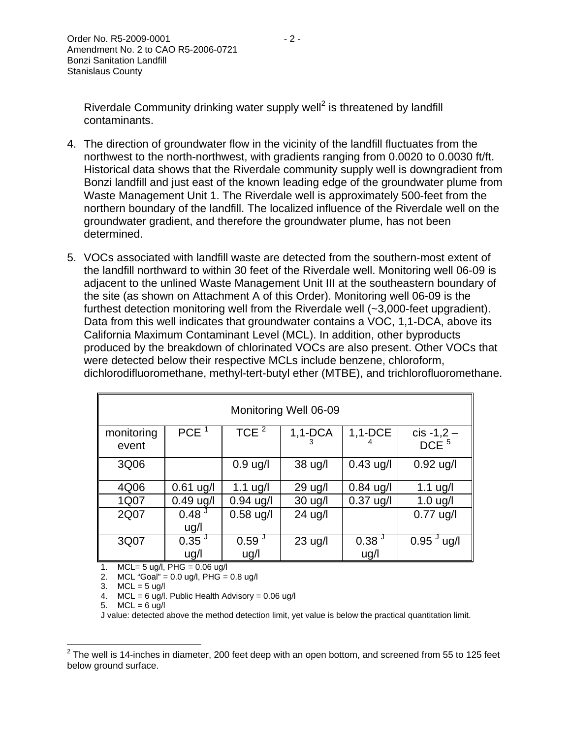Riverdale Community drinking water supply well<sup>2</sup> is threatened by landfill contaminants.

- 4. The direction of groundwater flow in the vicinity of the landfill fluctuates from the northwest to the north-northwest, with gradients ranging from 0.0020 to 0.0030 ft/ft. Historical data shows that the Riverdale community supply well is downgradient from Bonzi landfill and just east of the known leading edge of the groundwater plume from Waste Management Unit 1. The Riverdale well is approximately 500-feet from the northern boundary of the landfill. The localized influence of the Riverdale well on the groundwater gradient, and therefore the groundwater plume, has not been determined.
- 5. VOCs associated with landfill waste are detected from the southern-most extent of the landfill northward to within 30 feet of the Riverdale well. Monitoring well 06-09 is adjacent to the unlined Waste Management Unit III at the southeastern boundary of the site (as shown on Attachment A of this Order). Monitoring well 06-09 is the furthest detection monitoring well from the Riverdale well (~3,000-feet upgradient). Data from this well indicates that groundwater contains a VOC, 1,1-DCA, above its California Maximum Contaminant Level (MCL). In addition, other byproducts produced by the breakdown of chlorinated VOCs are also present. Other VOCs that were detected below their respective MCLs include benzene, chloroform, dichlorodifluoromethane, methyl-tert-butyl ether (MTBE), and trichlorofluoromethane.

| Monitoring Well 06-09 |                           |                   |                   |                   |                                  |
|-----------------------|---------------------------|-------------------|-------------------|-------------------|----------------------------------|
| monitoring<br>event   | PCE <sup>1</sup>          | TCE $^2$          | $1,1-DCA$         | $1,1$ -DCE        | $cis -1,2 -$<br>DCE <sup>5</sup> |
| 3Q06                  |                           | $0.9$ ug/l        | 38 ug/l           | $0.43$ ug/l       | $0.92$ ug/l                      |
| 4Q06                  | $0.61$ ug/l               | $1.1$ ug/l        | $29 \text{ u}g/l$ | $0.84$ ug/l       | $1.1$ ug/l                       |
| 1Q07                  | $0.49$ ug/l               | $0.94$ ug/l       | $30 \text{ u}g/l$ | $0.37$ ug/l       | $1.0$ ug/l                       |
| 2Q07                  | 0.48 <sup>J</sup><br>ug/l | $0.58$ ug/l       | $24$ ug/l         |                   | $0.77$ ug/l                      |
| 3Q07                  | $0.35^{\circ}$            | 0.59 <sup>J</sup> | $23$ ug/l         | 0.38 <sup>J</sup> | $0.95^{\circ}$ ug/l              |
|                       | ug/l                      | ug/l              |                   | ug/l              |                                  |

1. MCL= 5 ug/l, PHG = 0.06 ug/l

2. MCL "Goal" =  $0.0$  ug/l, PHG =  $0.8$  ug/l

3.  $MCL = 5$  ug/l

4. MCL = 6 ug/l. Public Health Advisory = 0.06 ug/l

5.  $MCL = 6$  ug/l

J value: detected above the method detection limit, yet value is below the practical quantitation limit.

 2 The well is 14-inches in diameter, 200 feet deep with an open bottom, and screened from 55 to 125 feet below ground surface.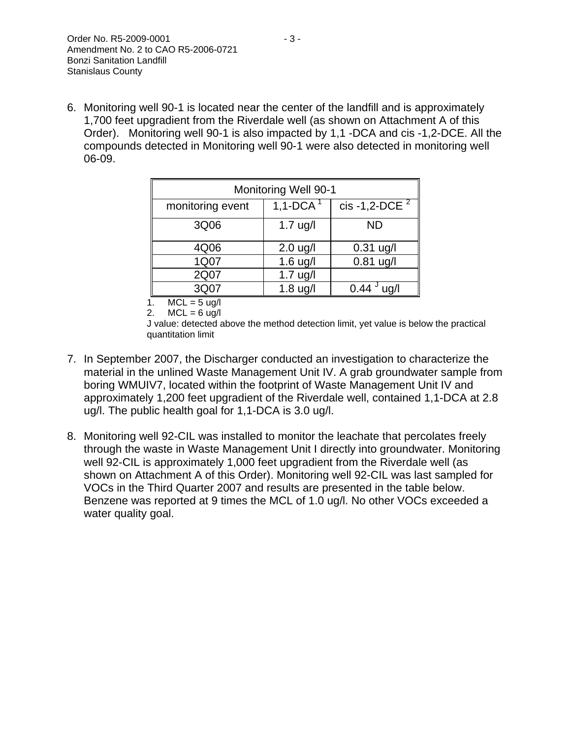6. Monitoring well 90-1 is located near the center of the landfill and is approximately 1,700 feet upgradient from the Riverdale well (as shown on Attachment A of this Order). Monitoring well 90-1 is also impacted by 1,1 -DCA and cis -1,2-DCE. All the compounds detected in Monitoring well 90-1 were also detected in monitoring well 06-09.

| <b>Monitoring Well 90-1</b> |             |                   |  |
|-----------------------------|-------------|-------------------|--|
| monitoring event            | 1,1-DCA $1$ | cis -1,2-DCE $^2$ |  |
| 3Q06                        | $1.7$ ug/l  | <b>ND</b>         |  |
| 4Q06                        | $2.0$ ug/l  | $0.31$ ug/l       |  |
| 1Q07                        | $1.6$ ug/l  | $0.81$ ug/l       |  |
| 2Q07                        | $1.7$ ug/l  |                   |  |
| 3Q07                        | $1.8$ ug/l  | 0.44<br>ua/l      |  |
| $^{\prime}$                 |             |                   |  |

1.  $MCL = 5$  ug/l

```
2. MCL = 6 ug/l
```
J value: detected above the method detection limit, yet value is below the practical quantitation limit

- 7. In September 2007, the Discharger conducted an investigation to characterize the material in the unlined Waste Management Unit IV. A grab groundwater sample from boring WMUIV7, located within the footprint of Waste Management Unit IV and approximately 1,200 feet upgradient of the Riverdale well, contained 1,1-DCA at 2.8 ug/l. The public health goal for 1,1-DCA is 3.0 ug/l.
- 8. Monitoring well 92-CIL was installed to monitor the leachate that percolates freely through the waste in Waste Management Unit I directly into groundwater. Monitoring well 92-CIL is approximately 1,000 feet upgradient from the Riverdale well (as shown on Attachment A of this Order). Monitoring well 92-CIL was last sampled for VOCs in the Third Quarter 2007 and results are presented in the table below. Benzene was reported at 9 times the MCL of 1.0 ug/l. No other VOCs exceeded a water quality goal.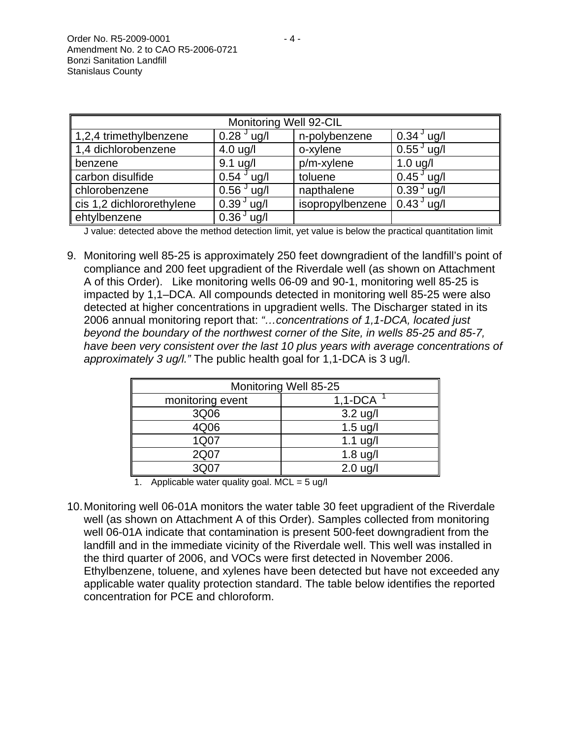| Monitoring Well 92-CIL    |                          |                  |                       |
|---------------------------|--------------------------|------------------|-----------------------|
| 1,2,4 trimethylbenzene    | $0.28$ <sup>J</sup> ug/l | n-polybenzene    | $0.34^{\circ}$ ug/l   |
| 1,4 dichlorobenzene       | $4.0$ ug/l               | o-xylene         | $0.55^{\circ}$ ug/l   |
| benzene                   | $9.1$ ug/l               | $p/m$ -xylene    | $1.0$ ug/l            |
| carbon disulfide          | $0.54 \,$ $\degree$ ug/l | toluene          | $0.45^{\degree}$ ug/l |
| chlorobenzene             | $0.56^{\circ}$ ug/l      | napthalene       | $0.393$ ug/l          |
| cis 1,2 dichlororethylene | $0.39J$ ug/l             | isopropylbenzene | $0.43J$ ug/l          |
| ehtylbenzene              | $0.36^{J}$ ug/l          |                  |                       |

J value: detected above the method detection limit, yet value is below the practical quantitation limit

9. Monitoring well 85-25 is approximately 250 feet downgradient of the landfill's point of compliance and 200 feet upgradient of the Riverdale well (as shown on Attachment A of this Order). Like monitoring wells 06-09 and 90-1, monitoring well 85-25 is impacted by 1,1–DCA. All compounds detected in monitoring well 85-25 were also detected at higher concentrations in upgradient wells. The Discharger stated in its 2006 annual monitoring report that: *"…concentrations of 1,1-DCA, located just beyond the boundary of the northwest corner of the Site, in wells 85-25 and 85-7, have been very consistent over the last 10 plus years with average concentrations of approximately 3 ug/l."* The public health goal for 1,1-DCA is 3 ug/l.

| Monitoring Well 85-25 |  |  |
|-----------------------|--|--|
| $1,1-DCA$             |  |  |
| $3.2$ ug/l            |  |  |
| $1.5$ ug/l            |  |  |
| $1.1$ ug/l            |  |  |
| $1.8$ ug/l            |  |  |
| $2.0$ ug/l            |  |  |
|                       |  |  |

1. Applicable water quality goal.  $MCL = 5$  ug/l

10. Monitoring well 06-01A monitors the water table 30 feet upgradient of the Riverdale well (as shown on Attachment A of this Order). Samples collected from monitoring well 06-01A indicate that contamination is present 500-feet downgradient from the landfill and in the immediate vicinity of the Riverdale well. This well was installed in the third quarter of 2006, and VOCs were first detected in November 2006. Ethylbenzene, toluene, and xylenes have been detected but have not exceeded any applicable water quality protection standard. The table below identifies the reported concentration for PCE and chloroform.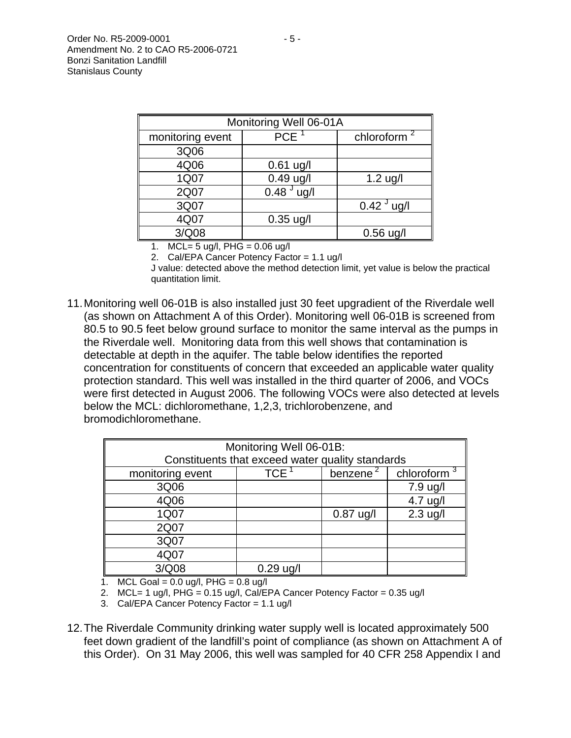| Monitoring Well 06-01A |                  |                     |  |
|------------------------|------------------|---------------------|--|
| monitoring event       | PCE <sup>1</sup> | chloroform $^2$     |  |
| 3Q06                   |                  |                     |  |
| 4Q06                   | $0.61$ ug/l      |                     |  |
| 1Q07                   | $0.49$ ug/l      | $1.2$ ug/l          |  |
| 2Q07                   | $0.48J$ ug/l     |                     |  |
| 3Q07                   |                  | $0.42^{\circ}$ ug/l |  |
| 4Q07                   | $0.35$ ug/l      |                     |  |
| 3/Q08                  |                  | $0.56$ ug/l         |  |

1. MCL=  $5 \text{ ug/l}$ , PHG = 0.06 ug/l

2. Cal/EPA Cancer Potency Factor = 1.1 ug/l

J value: detected above the method detection limit, yet value is below the practical quantitation limit.

11. Monitoring well 06-01B is also installed just 30 feet upgradient of the Riverdale well (as shown on Attachment A of this Order). Monitoring well 06-01B is screened from 80.5 to 90.5 feet below ground surface to monitor the same interval as the pumps in the Riverdale well. Monitoring data from this well shows that contamination is detectable at depth in the aquifer. The table below identifies the reported concentration for constituents of concern that exceeded an applicable water quality protection standard. This well was installed in the third quarter of 2006, and VOCs were first detected in August 2006. The following VOCs were also detected at levels below the MCL: dichloromethane, 1,2,3, trichlorobenzene, and bromodichloromethane.

| Monitoring Well 06-01B:                          |             |                      |                |
|--------------------------------------------------|-------------|----------------------|----------------|
| Constituents that exceed water quality standards |             |                      |                |
| monitoring event                                 | <b>TCE</b>  | benzene <sup>2</sup> | chloroform $3$ |
| 3Q06                                             |             |                      | 7.9 ug/l       |
| 4Q06                                             |             |                      | 4.7 ug/l       |
| 1Q07                                             |             | $0.87$ ug/l          | $2.3$ ug/l     |
| 2Q07                                             |             |                      |                |
| 3Q07                                             |             |                      |                |
| 4Q07                                             |             |                      |                |
| 3/Q08                                            | $0.29$ ug/l |                      |                |

1. MCL Goal =  $0.0 \text{ u}$ g/l, PHG =  $0.8 \text{ u}$ g/l

2. MCL= 1 ug/l,  $PHG = 0.15$  ug/l, Cal/EPA Cancer Potency Factor = 0.35 ug/l

3. Cal/EPA Cancer Potency Factor = 1.1 ug/l

12. The Riverdale Community drinking water supply well is located approximately 500 feet down gradient of the landfill's point of compliance (as shown on Attachment A of this Order). On 31 May 2006, this well was sampled for 40 CFR 258 Appendix I and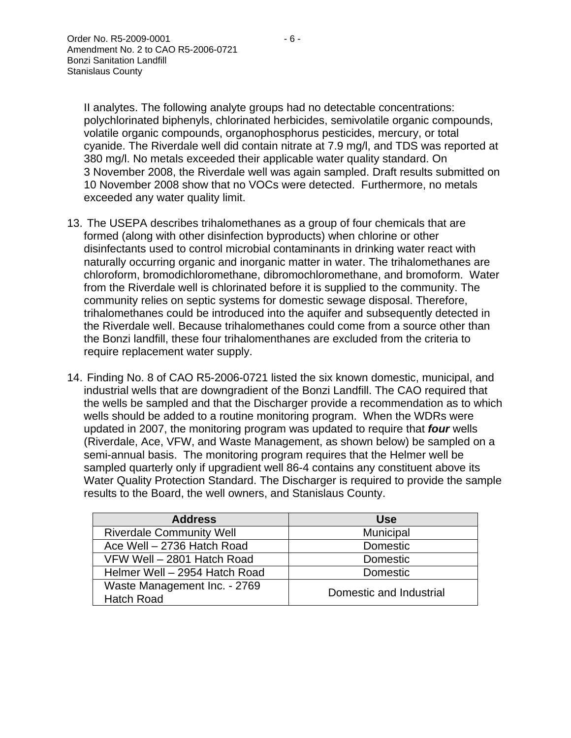II analytes. The following analyte groups had no detectable concentrations: polychlorinated biphenyls, chlorinated herbicides, semivolatile organic compounds, volatile organic compounds, organophosphorus pesticides, mercury, or total cyanide. The Riverdale well did contain nitrate at 7.9 mg/l, and TDS was reported at 380 mg/l. No metals exceeded their applicable water quality standard. On 3 November 2008, the Riverdale well was again sampled. Draft results submitted on 10 November 2008 show that no VOCs were detected. Furthermore, no metals exceeded any water quality limit.

- 13. The USEPA describes trihalomethanes as a group of four chemicals that are formed (along with other disinfection byproducts) when chlorine or other disinfectants used to control microbial contaminants in drinking water react with naturally occurring organic and inorganic matter in water. The trihalomethanes are chloroform, bromodichloromethane, dibromochloromethane, and bromoform. Water from the Riverdale well is chlorinated before it is supplied to the community. The community relies on septic systems for domestic sewage disposal. Therefore, trihalomethanes could be introduced into the aquifer and subsequently detected in the Riverdale well. Because trihalomethanes could come from a source other than the Bonzi landfill, these four trihalomenthanes are excluded from the criteria to require replacement water supply.
- 14. Finding No. 8 of CAO R5-2006-0721 listed the six known domestic, municipal, and industrial wells that are downgradient of the Bonzi Landfill. The CAO required that the wells be sampled and that the Discharger provide a recommendation as to which wells should be added to a routine monitoring program. When the WDRs were updated in 2007, the monitoring program was updated to require that *four* wells (Riverdale, Ace, VFW, and Waste Management, as shown below) be sampled on a semi-annual basis. The monitoring program requires that the Helmer well be sampled quarterly only if upgradient well 86-4 contains any constituent above its Water Quality Protection Standard. The Discharger is required to provide the sample results to the Board, the well owners, and Stanislaus County.

| <b>Address</b>                                    | Use                     |  |
|---------------------------------------------------|-------------------------|--|
| <b>Riverdale Community Well</b>                   | Municipal               |  |
| Ace Well - 2736 Hatch Road                        | <b>Domestic</b>         |  |
| VFW Well - 2801 Hatch Road                        | <b>Domestic</b>         |  |
| Helmer Well - 2954 Hatch Road                     | Domestic                |  |
| Waste Management Inc. - 2769<br><b>Hatch Road</b> | Domestic and Industrial |  |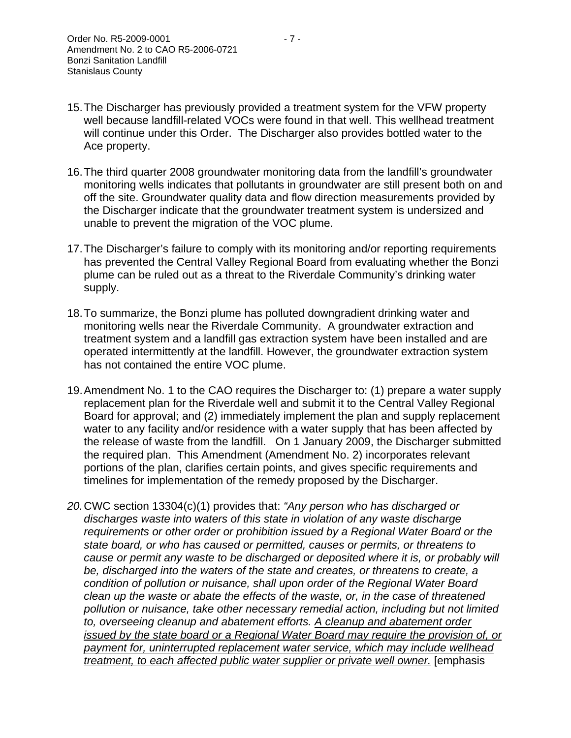- 15. The Discharger has previously provided a treatment system for the VFW property well because landfill-related VOCs were found in that well. This wellhead treatment will continue under this Order. The Discharger also provides bottled water to the Ace property.
- 16. The third quarter 2008 groundwater monitoring data from the landfill's groundwater monitoring wells indicates that pollutants in groundwater are still present both on and off the site. Groundwater quality data and flow direction measurements provided by the Discharger indicate that the groundwater treatment system is undersized and unable to prevent the migration of the VOC plume.
- 17. The Discharger's failure to comply with its monitoring and/or reporting requirements has prevented the Central Valley Regional Board from evaluating whether the Bonzi plume can be ruled out as a threat to the Riverdale Community's drinking water supply.
- 18. To summarize, the Bonzi plume has polluted downgradient drinking water and monitoring wells near the Riverdale Community. A groundwater extraction and treatment system and a landfill gas extraction system have been installed and are operated intermittently at the landfill. However, the groundwater extraction system has not contained the entire VOC plume.
- 19. Amendment No. 1 to the CAO requires the Discharger to: (1) prepare a water supply replacement plan for the Riverdale well and submit it to the Central Valley Regional Board for approval; and (2) immediately implement the plan and supply replacement water to any facility and/or residence with a water supply that has been affected by the release of waste from the landfill. On 1 January 2009, the Discharger submitted the required plan. This Amendment (Amendment No. 2) incorporates relevant portions of the plan, clarifies certain points, and gives specific requirements and timelines for implementation of the remedy proposed by the Discharger.
- *20.* CWC section 13304(c)(1) provides that: *"Any person who has discharged or discharges waste into waters of this state in violation of any waste discharge requirements or other order or prohibition issued by a Regional Water Board or the state board, or who has caused or permitted, causes or permits, or threatens to cause or permit any waste to be discharged or deposited where it is, or probably will be, discharged into the waters of the state and creates, or threatens to create, a condition of pollution or nuisance, shall upon order of the Regional Water Board clean up the waste or abate the effects of the waste, or, in the case of threatened pollution or nuisance, take other necessary remedial action, including but not limited to, overseeing cleanup and abatement efforts. A cleanup and abatement order issued by the state board or a Regional Water Board may require the provision of, or payment for, uninterrupted replacement water service, which may include wellhead treatment, to each affected public water supplier or private well owner.* [emphasis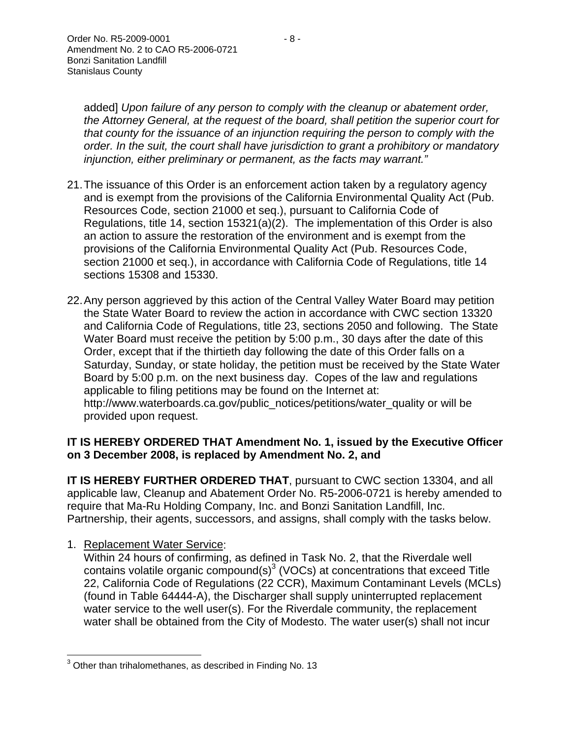added] *Upon failure of any person to comply with the cleanup or abatement order, the Attorney General, at the request of the board, shall petition the superior court for that county for the issuance of an injunction requiring the person to comply with the order. In the suit, the court shall have jurisdiction to grant a prohibitory or mandatory injunction, either preliminary or permanent, as the facts may warrant."* 

- 21. The issuance of this Order is an enforcement action taken by a regulatory agency and is exempt from the provisions of the California Environmental Quality Act (Pub. Resources Code, section 21000 et seq.), pursuant to California Code of Regulations, title 14, section 15321(a)(2). The implementation of this Order is also an action to assure the restoration of the environment and is exempt from the provisions of the California Environmental Quality Act (Pub. Resources Code, section 21000 et seq.), in accordance with California Code of Regulations, title 14 sections 15308 and 15330.
- 22. Any person aggrieved by this action of the Central Valley Water Board may petition the State Water Board to review the action in accordance with CWC section 13320 and California Code of Regulations, title 23, sections 2050 and following. The State Water Board must receive the petition by 5:00 p.m., 30 days after the date of this Order, except that if the thirtieth day following the date of this Order falls on a Saturday, Sunday, or state holiday, the petition must be received by the State Water Board by 5:00 p.m. on the next business day. Copes of the law and regulations applicable to filing petitions may be found on the Internet at: http://www.waterboards.ca.gov/public\_notices/petitions/water\_quality or will be provided upon request.

### **IT IS HEREBY ORDERED THAT Amendment No. 1, issued by the Executive Officer on 3 December 2008, is replaced by Amendment No. 2, and**

**IT IS HEREBY FURTHER ORDERED THAT, pursuant to CWC section 13304, and all** applicable law, Cleanup and Abatement Order No. R5-2006-0721 is hereby amended to require that Ma-Ru Holding Company, Inc. and Bonzi Sanitation Landfill, Inc. Partnership, their agents, successors, and assigns, shall comply with the tasks below.

1. Replacement Water Service:

Within 24 hours of confirming, as defined in Task No. 2, that the Riverdale well contains volatile organic compound(s) $3$  (VOCs) at concentrations that exceed Title 22, California Code of Regulations (22 CCR), Maximum Contaminant Levels (MCLs) (found in Table 64444-A), the Discharger shall supply uninterrupted replacement water service to the well user(s). For the Riverdale community, the replacement water shall be obtained from the City of Modesto. The water user(s) shall not incur

<sup>&</sup>lt;u>and the metal controller metal</u><br>and the than trihalomethanes, as described in Finding No. 13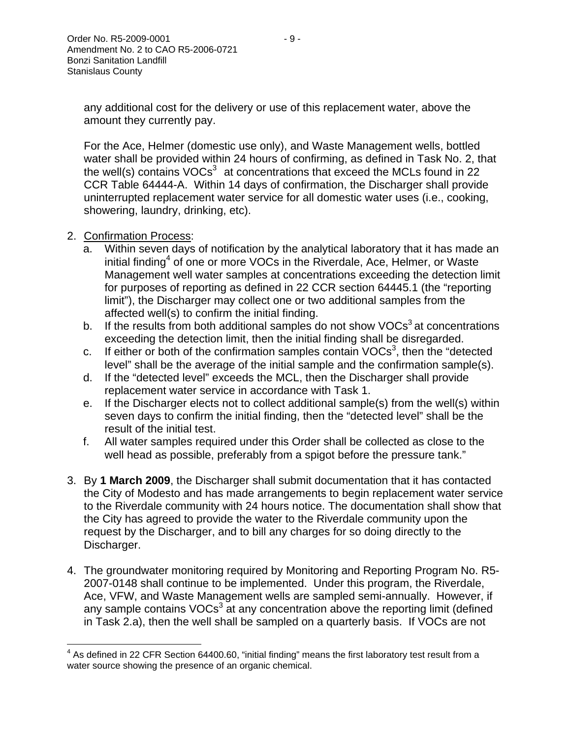any additional cost for the delivery or use of this replacement water, above the amount they currently pay.

For the Ace, Helmer (domestic use only), and Waste Management wells, bottled water shall be provided within 24 hours of confirming, as defined in Task No. 2, that the well(s) contains  $VOCs<sup>3</sup>$  at concentrations that exceed the MCLs found in 22 CCR Table 64444-A. Within 14 days of confirmation, the Discharger shall provide uninterrupted replacement water service for all domestic water uses (i.e., cooking, showering, laundry, drinking, etc).

- 2. Confirmation Process:
	- a. Within seven days of notification by the analytical laboratory that it has made an initial finding<sup>4</sup> of one or more VOCs in the Riverdale, Ace, Helmer, or Waste Management well water samples at concentrations exceeding the detection limit for purposes of reporting as defined in 22 CCR section 64445.1 (the "reporting limit"), the Discharger may collect one or two additional samples from the affected well(s) to confirm the initial finding.
	- b. If the results from both additional samples do not show  $VOCs<sup>3</sup>$  at concentrations exceeding the detection limit, then the initial finding shall be disregarded.
	- c. If either or both of the confirmation samples contain VOCs<sup>3</sup>, then the "detected level" shall be the average of the initial sample and the confirmation sample(s).
	- d. If the "detected level" exceeds the MCL, then the Discharger shall provide replacement water service in accordance with Task 1.
	- e. If the Discharger elects not to collect additional sample(s) from the well(s) within seven days to confirm the initial finding, then the "detected level" shall be the result of the initial test.
	- f. All water samples required under this Order shall be collected as close to the well head as possible, preferably from a spigot before the pressure tank."
- 3. By **1 March 2009**, the Discharger shall submit documentation that it has contacted the City of Modesto and has made arrangements to begin replacement water service to the Riverdale community with 24 hours notice. The documentation shall show that the City has agreed to provide the water to the Riverdale community upon the request by the Discharger, and to bill any charges for so doing directly to the Discharger.
- 4. The groundwater monitoring required by Monitoring and Reporting Program No. R5- 2007-0148 shall continue to be implemented. Under this program, the Riverdale, Ace, VFW, and Waste Management wells are sampled semi-annually. However, if any sample contains  $VOCs<sup>3</sup>$  at any concentration above the reporting limit (defined in Task 2.a), then the well shall be sampled on a quarterly basis. If VOCs are not

<sup>————————————————————&</sup>lt;br><sup>4</sup> As defined in 22 CFR Section 64400.60, "initial finding" means the first laboratory test result from a water source showing the presence of an organic chemical.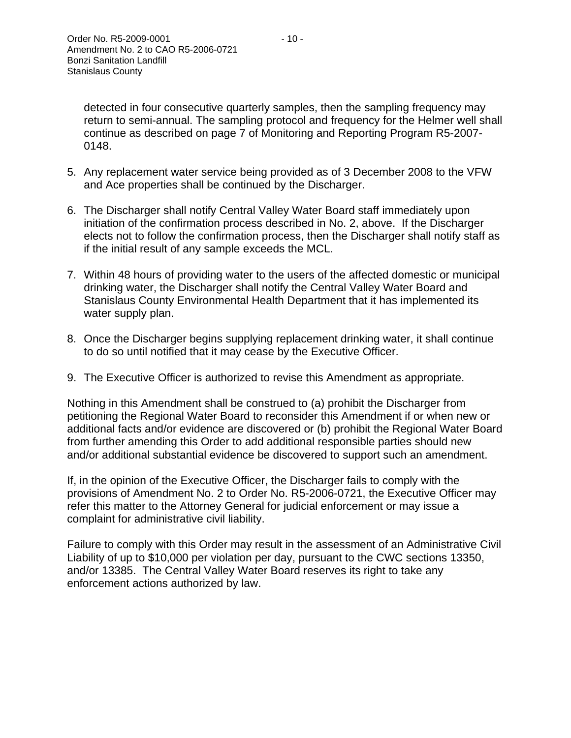detected in four consecutive quarterly samples, then the sampling frequency may return to semi-annual. The sampling protocol and frequency for the Helmer well shall continue as described on page 7 of Monitoring and Reporting Program R5-2007- 0148.

- 5. Any replacement water service being provided as of 3 December 2008 to the VFW and Ace properties shall be continued by the Discharger.
- 6. The Discharger shall notify Central Valley Water Board staff immediately upon initiation of the confirmation process described in No. 2, above. If the Discharger elects not to follow the confirmation process, then the Discharger shall notify staff as if the initial result of any sample exceeds the MCL.
- 7. Within 48 hours of providing water to the users of the affected domestic or municipal drinking water, the Discharger shall notify the Central Valley Water Board and Stanislaus County Environmental Health Department that it has implemented its water supply plan.
- 8. Once the Discharger begins supplying replacement drinking water, it shall continue to do so until notified that it may cease by the Executive Officer.
- 9. The Executive Officer is authorized to revise this Amendment as appropriate.

Nothing in this Amendment shall be construed to (a) prohibit the Discharger from petitioning the Regional Water Board to reconsider this Amendment if or when new or additional facts and/or evidence are discovered or (b) prohibit the Regional Water Board from further amending this Order to add additional responsible parties should new and/or additional substantial evidence be discovered to support such an amendment.

If, in the opinion of the Executive Officer, the Discharger fails to comply with the provisions of Amendment No. 2 to Order No. R5-2006-0721, the Executive Officer may refer this matter to the Attorney General for judicial enforcement or may issue a complaint for administrative civil liability.

Failure to comply with this Order may result in the assessment of an Administrative Civil Liability of up to \$10,000 per violation per day, pursuant to the CWC sections 13350, and/or 13385. The Central Valley Water Board reserves its right to take any enforcement actions authorized by law.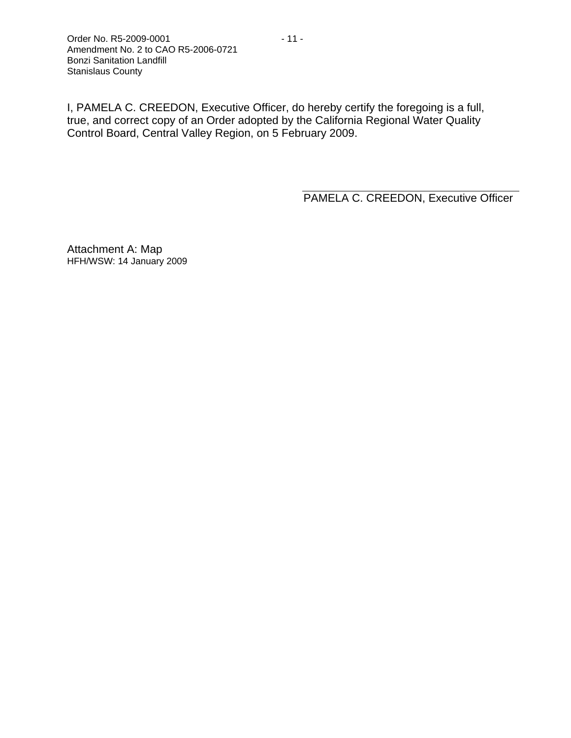I, PAMELA C. CREEDON, Executive Officer, do hereby certify the foregoing is a full, true, and correct copy of an Order adopted by the California Regional Water Quality Control Board, Central Valley Region, on 5 February 2009.

PAMELA C. CREEDON, Executive Officer

Attachment A: Map HFH/WSW: 14 January 2009